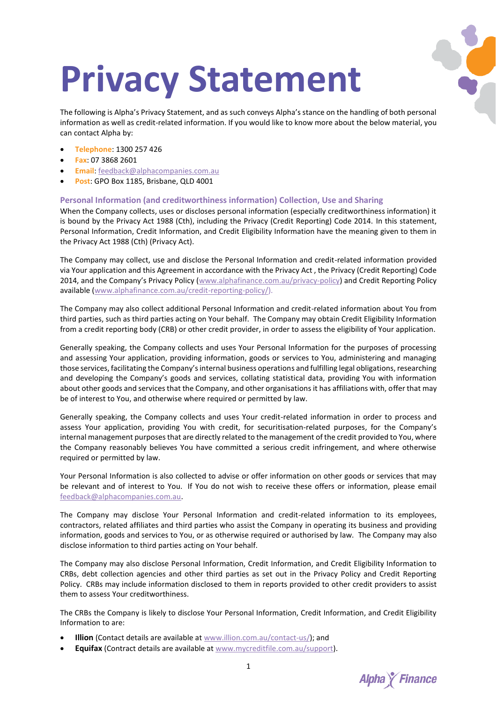# **Privacy Statement**

The following is Alpha's Privacy Statement, and as such conveys Alpha's stance on the handling of both personal information as well as credit-related information. If you would like to know more about the below material, you can contact Alpha by:

- **Telephone**: 1300 257 426
- **Fax**: 07 3868 2601
- **Email**: [feedback@alphacompanies.com.au](mailto:feedback@alphacompanies.com.au)
- **Post**: GPO Box 1185, Brisbane, QLD 4001

# **Personal Information (and creditworthiness information) Collection, Use and Sharing**

When the Company collects, uses or discloses personal information (especially creditworthiness information) it is bound by the Privacy Act 1988 (Cth), including the Privacy (Credit Reporting) Code 2014. In this statement, Personal Information, Credit Information, and Credit Eligibility Information have the meaning given to them in the Privacy Act 1988 (Cth) (Privacy Act).

The Company may collect, use and disclose the Personal Information and credit-related information provided via Your application and this Agreement in accordance with the Privacy Act , the Privacy (Credit Reporting) Code 2014, and the Company's Privacy Policy ([www.alphafinance.com.au/privacy-policy\)](http://www.alphafinance.com.au/privacy-policy) and Credit Reporting Policy available [\(www.alphafinance.com.au/credit-reporting-policy/\)](http://www.alphafinance.com.au/credit-reporting-policy/).

The Company may also collect additional Personal Information and credit-related information about You from third parties, such as third parties acting on Your behalf. The Company may obtain Credit Eligibility Information from a credit reporting body (CRB) or other credit provider, in order to assess the eligibility of Your application.

Generally speaking, the Company collects and uses Your Personal Information for the purposes of processing and assessing Your application, providing information, goods or services to You, administering and managing those services, facilitating the Company's internal business operations and fulfilling legal obligations, researching and developing the Company's goods and services, collating statistical data, providing You with information about other goods and services that the Company, and other organisations it has affiliations with, offer that may be of interest to You, and otherwise where required or permitted by law.

Generally speaking, the Company collects and uses Your credit-related information in order to process and assess Your application, providing You with credit, for securitisation-related purposes, for the Company's internal management purposes that are directly related to the management of the credit provided to You, where the Company reasonably believes You have committed a serious credit infringement, and where otherwise required or permitted by law.

Your Personal Information is also collected to advise or offer information on other goods or services that may be relevant and of interest to You. If You do not wish to receive these offers or information, please email [feedback@alphacompanies.com.au.](mailto:feedback@alphacompanies.com.au)

The Company may disclose Your Personal Information and credit-related information to its employees, contractors, related affiliates and third parties who assist the Company in operating its business and providing information, goods and services to You, or as otherwise required or authorised by law. The Company may also disclose information to third parties acting on Your behalf.

The Company may also disclose Personal Information, Credit Information, and Credit Eligibility Information to CRBs, debt collection agencies and other third parties as set out in the Privacy Policy and Credit Reporting Policy. CRBs may include information disclosed to them in reports provided to other credit providers to assist them to assess Your creditworthiness.

The CRBs the Company is likely to disclose Your Personal Information, Credit Information, and Credit Eligibility Information to are:

- **Illion** (Contact details are available a[t www.illion.com.au/contact-us/\)](http://www.illion.com.au/contact-us/); and
- **Equifax** (Contract details are available at [www.mycreditfile.com.au/support\)](http://www.mycreditfile.com.au/support).

**Alpha** *K* Finance